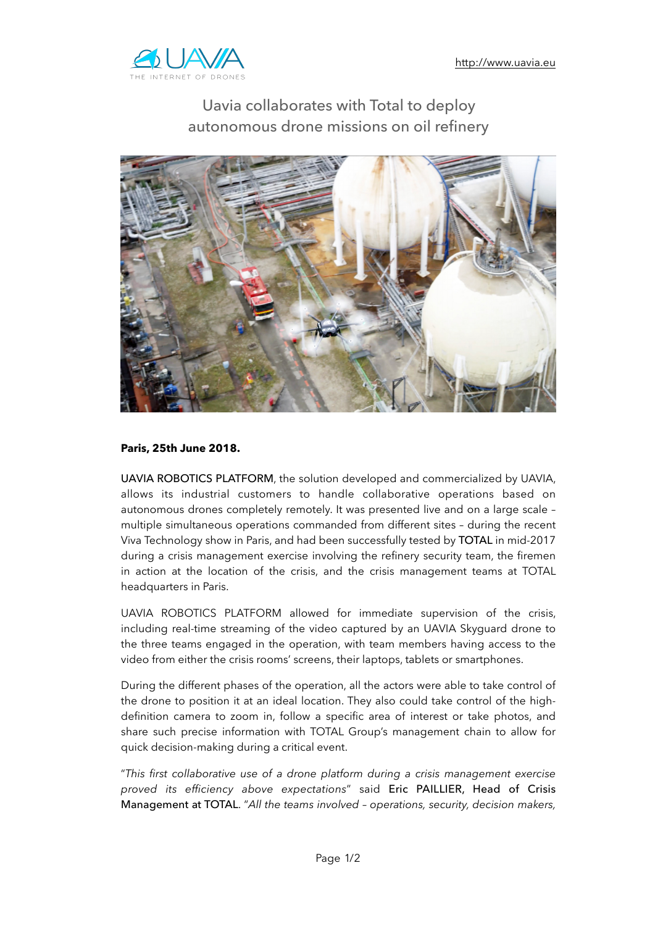

## Uavia collaborates with Total to deploy autonomous drone missions on oil refinery



## **Paris, 25th June 2018.**

UAVIA ROBOTICS PLATFORM, the solution developed and commercialized by UAVIA, allows its industrial customers to handle collaborative operations based on autonomous drones completely remotely. It was presented live and on a large scale – multiple simultaneous operations commanded from different sites – during the recent Viva Technology show in Paris, and had been successfully tested by TOTAL in mid-2017 during a crisis management exercise involving the refinery security team, the firemen in action at the location of the crisis, and the crisis management teams at TOTAL headquarters in Paris.

UAVIA ROBOTICS PLATFORM allowed for immediate supervision of the crisis, including real-time streaming of the video captured by an UAVIA Skyguard drone to the three teams engaged in the operation, with team members having access to the video from either the crisis rooms' screens, their laptops, tablets or smartphones.

During the different phases of the operation, all the actors were able to take control of the drone to position it at an ideal location. They also could take control of the highdefinition camera to zoom in, follow a specific area of interest or take photos, and share such precise information with TOTAL Group's management chain to allow for quick decision-making during a critical event.

"*This first collaborative use of a drone platform during a crisis management exercise proved its efficiency above expectations*" said Eric PAILLIER, Head of Crisis Management at TOTAL. "*All the teams involved – operations, security, decision makers,*